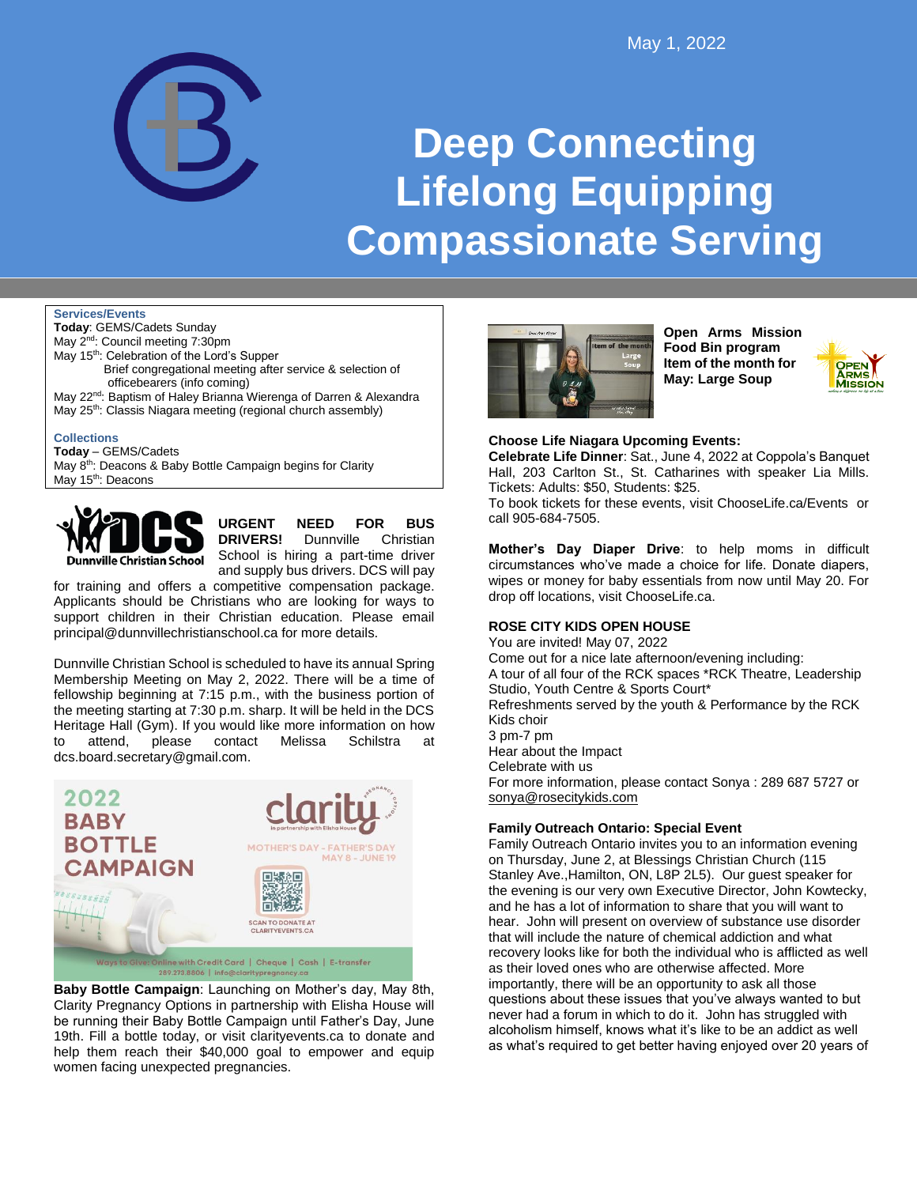

# **Deep Connecting Lifelong Equipping Compassionate Serving**

#### **Services/Events**

**Today**: GEMS/Cadets Sunday May 2<sup>nd</sup>: Council meeting 7:30pm May 15<sup>th</sup>: Celebration of the Lord's Supper Brief congregational meeting after service & selection of officebearers (info coming)

- May 22<sup>nd</sup>: Baptism of Haley Brianna Wierenga of Darren & Alexandra
- May 25<sup>th</sup>: Classis Niagara meeting (regional church assembly)

**Collections**

**Today** – GEMS/Cadets

May 8<sup>th</sup>: Deacons & Baby Bottle Campaign begins for Clarity May 15<sup>th</sup>: Deacons



**URGENT NEED FOR BUS DRIVERS!** Dunnville Christian

School is hiring a part-time driver and supply bus drivers. DCS will pay

for training and offers a competitive compensation package. Applicants should be Christians who are looking for ways to support children in their Christian education. Please email principal@dunnvillechristianschool.ca for more details.

Dunnville Christian School is scheduled to have its annual Spring Membership Meeting on May 2, 2022. There will be a time of fellowship beginning at 7:15 p.m., with the business portion of the meeting starting at 7:30 p.m. sharp. It will be held in the DCS Heritage Hall (Gym). If you would like more information on how to attend, please contact Melissa Schilstra at dcs.board.secretary@gmail.com.



**Baby Bottle Campaign**: Launching on Mother's day, May 8th, Clarity Pregnancy Options in partnership with Elisha House will be running their Baby Bottle Campaign until Father's Day, June 19th. Fill a bottle today, or visit clarityevents.ca to donate and help them reach their \$40,000 goal to empower and equip women facing unexpected pregnancies.



**Open Arms Mission Food Bin program Item of the month for May: Large Soup**



## **Choose Life Niagara Upcoming Events:**

**Celebrate Life Dinner**: Sat., June 4, 2022 at Coppola's Banquet Hall, 203 Carlton St., St. Catharines with speaker Lia Mills. Tickets: Adults: \$50, Students: \$25.

To book tickets for these events, visit ChooseLife.ca/Events or call 905-684-7505.

**Mother's Day Diaper Drive**: to help moms in difficult circumstances who've made a choice for life. Donate diapers, wipes or money for baby essentials from now until May 20. For drop off locations, visit ChooseLife.ca.

# **ROSE CITY KIDS OPEN HOUSE**

You are invited! May 07, 2022 Come out for a nice late afternoon/evening including: A tour of all four of the RCK spaces \*RCK Theatre, Leadership Studio, Youth Centre & Sports Court\* Refreshments served by the youth & Performance by the RCK Kids choir 3 pm-7 pm Hear about the Impact Celebrate with us For more information, please contact Sonya : 289 687 5727 or [sonya@rosecitykids.com](mailto:sonya@rosecitykids.com)

# **Family Outreach Ontario: Special Event**

Family Outreach Ontario invites you to an information evening on Thursday, June 2, at Blessings Christian Church (115 Stanley Ave.,Hamilton, ON, L8P 2L5). Our guest speaker for the evening is our very own Executive Director, John Kowtecky, and he has a lot of information to share that you will want to hear. John will present on overview of substance use disorder that will include the nature of chemical addiction and what recovery looks like for both the individual who is afflicted as well as their loved ones who are otherwise affected. More importantly, there will be an opportunity to ask all those questions about these issues that you've always wanted to but never had a forum in which to do it. John has struggled with alcoholism himself, knows what it's like to be an addict as well as what's required to get better having enjoyed over 20 years of